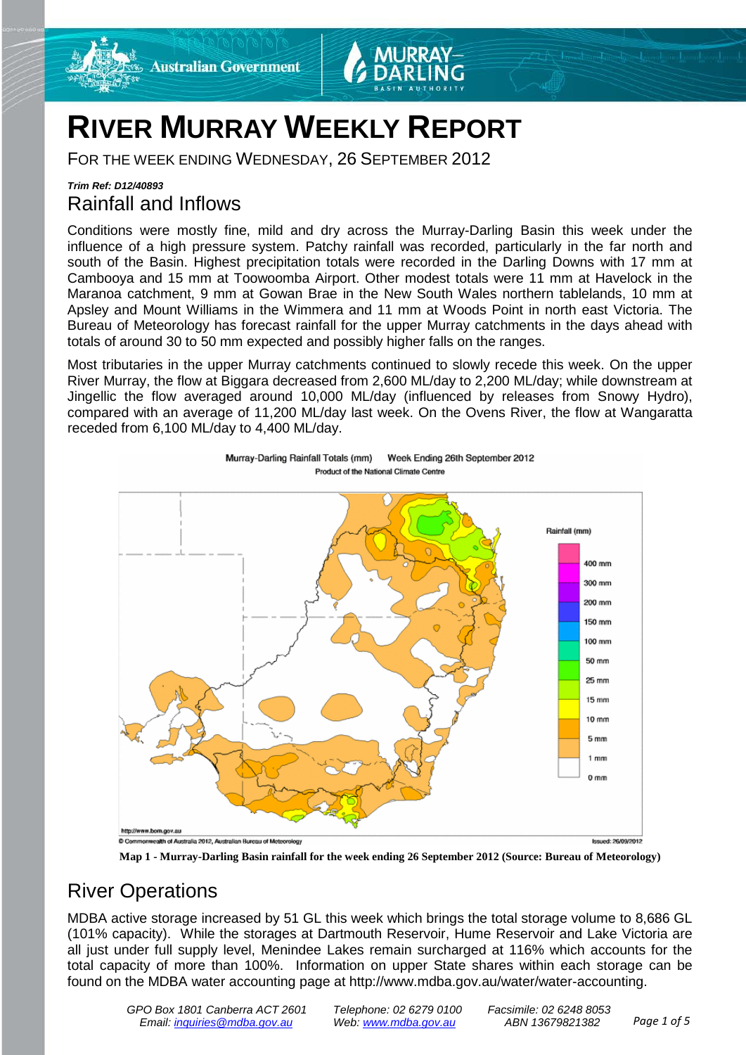



## **RIVER MURRAY WEEKLY REPORT**

FOR THE WEEK ENDING WEDNESDAY, 26 SEPTEMBER 2012

## *Trim Ref: D12/40893* Rainfall and Inflows

Conditions were mostly fine, mild and dry across the Murray-Darling Basin this week under the influence of a high pressure system. Patchy rainfall was recorded, particularly in the far north and south of the Basin. Highest precipitation totals were recorded in the Darling Downs with 17 mm at Cambooya and 15 mm at Toowoomba Airport. Other modest totals were 11 mm at Havelock in the Maranoa catchment, 9 mm at Gowan Brae in the New South Wales northern tablelands, 10 mm at Apsley and Mount Williams in the Wimmera and 11 mm at Woods Point in north east Victoria. The Bureau of Meteorology has forecast rainfall for the upper Murray catchments in the days ahead with totals of around 30 to 50 mm expected and possibly higher falls on the ranges.

Most tributaries in the upper Murray catchments continued to slowly recede this week. On the upper River Murray, the flow at Biggara decreased from 2,600 ML/day to 2,200 ML/day; while downstream at Jingellic the flow averaged around 10,000 ML/day (influenced by releases from Snowy Hydro), compared with an average of 11,200 ML/day last week. On the Ovens River, the flow at Wangaratta receded from 6,100 ML/day to 4,400 ML/day.





**Map 1 - Murray-Darling Basin rainfall for the week ending 26 September 2012 (Source: Bureau of Meteorology)**

## River Operations

MDBA active storage increased by 51 GL this week which brings the total storage volume to 8,686 GL (101% capacity). While the storages at Dartmouth Reservoir, Hume Reservoir and Lake Victoria are all just under full supply level, Menindee Lakes remain surcharged at 116% which accounts for the total capacity of more than 100%. Information on upper State shares within each storage can be found on the MDBA water accounting page at [http://www.mdba.gov.au/water/water-accounting.](http://www.mdba.gov.au/water/water-accounting)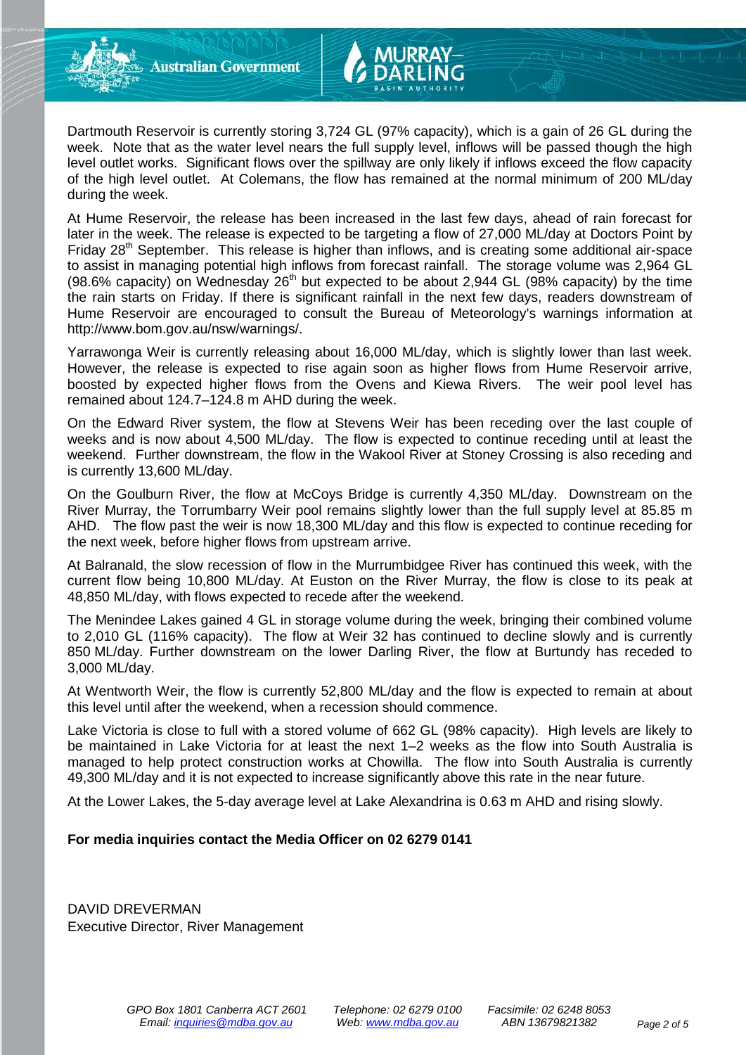Dartmouth Reservoir is currently storing 3,724 GL (97% capacity), which is a gain of 26 GL during the week. Note that as the water level nears the full supply level, inflows will be passed though the high level outlet works. Significant flows over the spillway are only likely if inflows exceed the flow capacity of the high level outlet. At Colemans, the flow has remained at the normal minimum of 200 ML/day during the week.

At Hume Reservoir, the release has been increased in the last few days, ahead of rain forecast for later in the week. The release is expected to be targeting a flow of 27,000 ML/day at Doctors Point by Friday  $28<sup>th</sup>$  September. This release is higher than inflows, and is creating some additional air-space to assist in managing potential high inflows from forecast rainfall. The storage volume was 2,964 GL (98.6% capacity) on Wednesday  $26<sup>th</sup>$  but expected to be about 2,944 GL (98% capacity) by the time the rain starts on Friday. If there is significant rainfall in the next few days, readers downstream of Hume Reservoir are encouraged to consult the Bureau of Meteorology's warnings information at [http://www.bom.gov.au/nsw/warnings/.](http://www.bom.gov.au/nsw/warnings/)

Yarrawonga Weir is currently releasing about 16,000 ML/day, which is slightly lower than last week. However, the release is expected to rise again soon as higher flows from Hume Reservoir arrive, boosted by expected higher flows from the Ovens and Kiewa Rivers. The weir pool level has remained about 124.7–124.8 m AHD during the week.

On the Edward River system, the flow at Stevens Weir has been receding over the last couple of weeks and is now about 4,500 ML/day. The flow is expected to continue receding until at least the weekend. Further downstream, the flow in the Wakool River at Stoney Crossing is also receding and is currently 13,600 ML/day.

On the Goulburn River, the flow at McCoys Bridge is currently 4,350 ML/day. Downstream on the River Murray, the Torrumbarry Weir pool remains slightly lower than the full supply level at 85.85 m AHD. The flow past the weir is now 18,300 ML/day and this flow is expected to continue receding for the next week, before higher flows from upstream arrive.

At Balranald, the slow recession of flow in the Murrumbidgee River has continued this week, with the current flow being 10,800 ML/day. At Euston on the River Murray, the flow is close to its peak at 48,850 ML/day, with flows expected to recede after the weekend.

The Menindee Lakes gained 4 GL in storage volume during the week, bringing their combined volume to 2,010 GL (116% capacity). The flow at Weir 32 has continued to decline slowly and is currently 850 ML/day. Further downstream on the lower Darling River, the flow at Burtundy has receded to 3,000 ML/day.

At Wentworth Weir, the flow is currently 52,800 ML/day and the flow is expected to remain at about this level until after the weekend, when a recession should commence.

Lake Victoria is close to full with a stored volume of 662 GL (98% capacity). High levels are likely to be maintained in Lake Victoria for at least the next 1–2 weeks as the flow into South Australia is managed to help protect construction works at Chowilla. The flow into South Australia is currently 49,300 ML/day and it is not expected to increase significantly above this rate in the near future.

At the Lower Lakes, the 5-day average level at Lake Alexandrina is 0.63 m AHD and rising slowly.

#### **For media inquiries contact the Media Officer on 02 6279 0141**

DAVID DREVERMAN Executive Director, River Management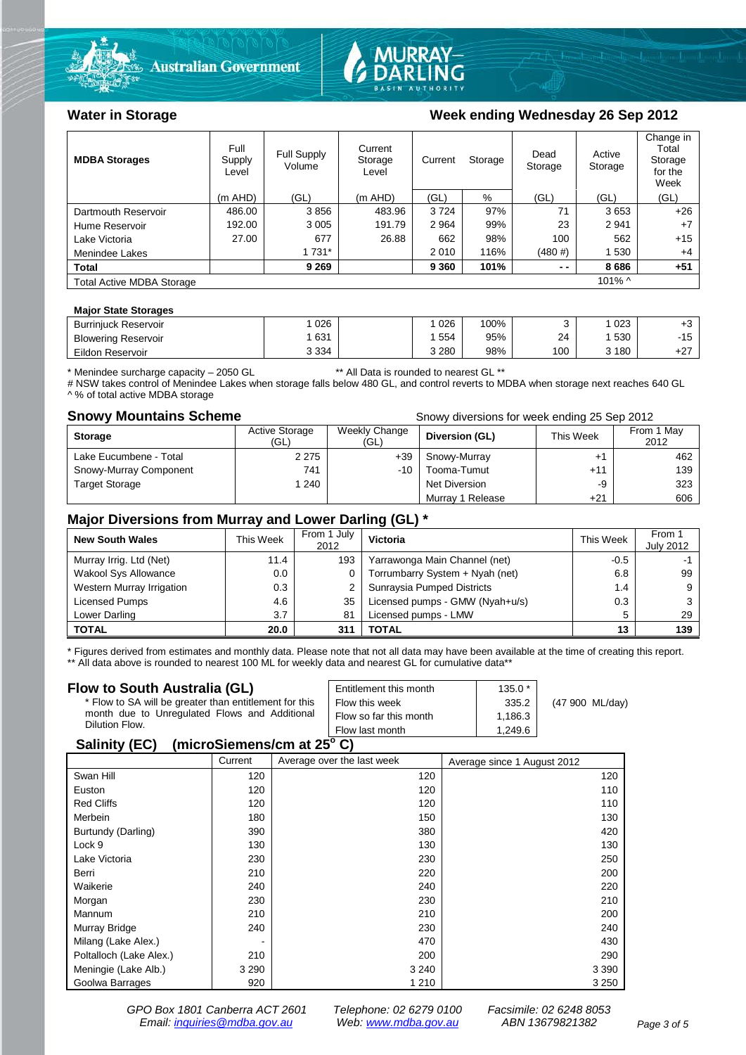



#### Water in Storage Week ending Wednesday 26 Sep 2012

| <b>MDBA Storages</b>                          | Full<br>Supply<br>Level | Full Supply<br>Volume | Current<br>Storage<br>Level | Current<br>Storage |      | Dead<br>Storage | Active<br>Storage | Change in<br>Total<br>Storage<br>for the<br>Week |
|-----------------------------------------------|-------------------------|-----------------------|-----------------------------|--------------------|------|-----------------|-------------------|--------------------------------------------------|
|                                               | $(m$ AHD)               | (GL)                  | (m AHD)                     | (GL)               | %    | (GL)            | (GL)              | (GL)                                             |
| Dartmouth Reservoir                           | 486.00                  | 3856                  | 483.96                      | 3724               | 97%  | 71              | 3653              | $+26$                                            |
| Hume Reservoir                                | 192.00                  | 3 0 0 5               | 191.79                      | 2 9 64             | 99%  | 23              | 2941              | $+7$                                             |
| Lake Victoria                                 | 27.00                   | 677                   | 26.88                       | 662                | 98%  | 100             | 562               | $+15$                                            |
| Menindee Lakes                                |                         | 1 731*                |                             | 2010               | 116% | (480#)          | 1 530             | $+4$                                             |
| <b>Total</b>                                  |                         | 9 2 6 9               |                             | 9 3 6 0            | 101% | $ -$            | 8686              | $+51$                                            |
| $101\%$ ^<br><b>Total Active MDBA Storage</b> |                         |                       |                             |                    |      |                 |                   |                                                  |

#### **Major State Storages**

| <b>Burrinjuck Reservoir</b> | 026     | 026   | 100% |     | 023 | ະບ          |
|-----------------------------|---------|-------|------|-----|-----|-------------|
| <b>Blowering Reservoir</b>  | 631     | 554   | 95%  | 24  | 530 | $-15$<br>ιv |
| Eildon Reservoir            | 3 3 3 4 | 3 280 | 98%  | 100 | 180 | .27<br>12.  |

\* Menindee surcharge capacity – 2050 GL \*\* All Data is rounded to nearest GL \*\*

# NSW takes control of Menindee Lakes when storage falls below 480 GL, and control reverts to MDBA when storage next reaches 640 GL A % of total active MDBA storage

**Snowy Mountains Scheme Snowy diversions for week ending 25 Sep 2012** 

| <b>Storage</b>         | <b>Active Storage</b><br>(GL) | Weekly Change<br>(GL) | Diversion (GL)       | This Week | From 1 May<br>2012 |
|------------------------|-------------------------------|-----------------------|----------------------|-----------|--------------------|
| Lake Eucumbene - Total | 2 2 7 5                       | $+39$                 | Snowy-Murray         | ÷٢        | 462                |
| Snowy-Murray Component | 741                           | $-10$                 | Tooma-Tumut          | $+11$     | 139                |
| <b>Target Storage</b>  | 1 240                         |                       | <b>Net Diversion</b> | -9        | 323                |
|                        |                               |                       | Murray 1 Release     | +21       | 606                |

#### **Major Diversions from Murray and Lower Darling (GL) \***

| <b>New South Wales</b>    | This Week | From 1 July<br>2012 | Victoria                        | This Week | From 1<br><b>July 2012</b> |
|---------------------------|-----------|---------------------|---------------------------------|-----------|----------------------------|
| Murray Irrig. Ltd (Net)   | 11.4      | 193                 | Yarrawonga Main Channel (net)   | $-0.5$    |                            |
| Wakool Sys Allowance      | 0.0       |                     | Torrumbarry System + Nyah (net) | 6.8       | 99                         |
| Western Murray Irrigation | 0.3       |                     | Sunraysia Pumped Districts      | 1.4       | 9                          |
| Licensed Pumps            | 4.6       | 35                  | Licensed pumps - GMW (Nyah+u/s) | 0.3       |                            |
| Lower Darling             | 3.7       | 81                  | Licensed pumps - LMW            | 5         | 29                         |
| <b>TOTAL</b>              | 20.0      | 311                 | TOTAL                           | 13        | 139                        |

\* Figures derived from estimates and monthly data. Please note that not all data may have been available at the time of creating this report.

\*\* All data above is rounded to nearest 100 ML for weekly data and nearest GL for cumulative data\*\*

| Flow to South Australia (GL)                           | Entitlement this month | $135.0*$ |                 |  |  |
|--------------------------------------------------------|------------------------|----------|-----------------|--|--|
| * Flow to SA will be greater than entitlement for this | Flow this week         | 335.2    | (47 900 ML/day) |  |  |
| month due to Unregulated Flows and Additional          | Flow so far this month | 1,186.3  |                 |  |  |
| Dilution Flow.                                         | Flow last month        | 1.249.6  |                 |  |  |
| $P = 1!!41P P V$                                       |                        |          |                 |  |  |

#### **Salinity (EC)** (microSiemens/cm at 25°C)

|                         | Current | Average over the last week | Average since 1 August 2012 |
|-------------------------|---------|----------------------------|-----------------------------|
| Swan Hill               | 120     | 120                        | 120                         |
| Euston                  | 120     | 120                        | 110                         |
| <b>Red Cliffs</b>       | 120     | 120                        | 110                         |
| Merbein                 | 180     | 150                        | 130                         |
| Burtundy (Darling)      | 390     | 380                        | 420                         |
| Lock 9                  | 130     | 130                        | 130                         |
| Lake Victoria           | 230     | 230                        | 250                         |
| Berri                   | 210     | 220                        | 200                         |
| Waikerie                | 240     | 240                        | 220                         |
| Morgan                  | 230     | 230                        | 210                         |
| Mannum                  | 210     | 210                        | 200                         |
| Murray Bridge           | 240     | 230                        | 240                         |
| Milang (Lake Alex.)     | ٠       | 470                        | 430                         |
| Poltalloch (Lake Alex.) | 210     | 200                        | 290                         |
| Meningie (Lake Alb.)    | 3 2 9 0 | 3 2 4 0                    | 3 3 9 0                     |
| Goolwa Barrages         | 920     | 1 2 1 0                    | 3 2 5 0                     |

*GPO Box 1801 Canberra ACT 2601 Telephone: 02 6279 0100 Facsimile: 02 6248 8053 Email: [inquiries@mdba.gov.au](mailto:inquiries@mdba.gov.au) Web: [www.mdba.gov.au](http://www.mdba.gov.au/) ABN 13679821382 Page 3 of 5*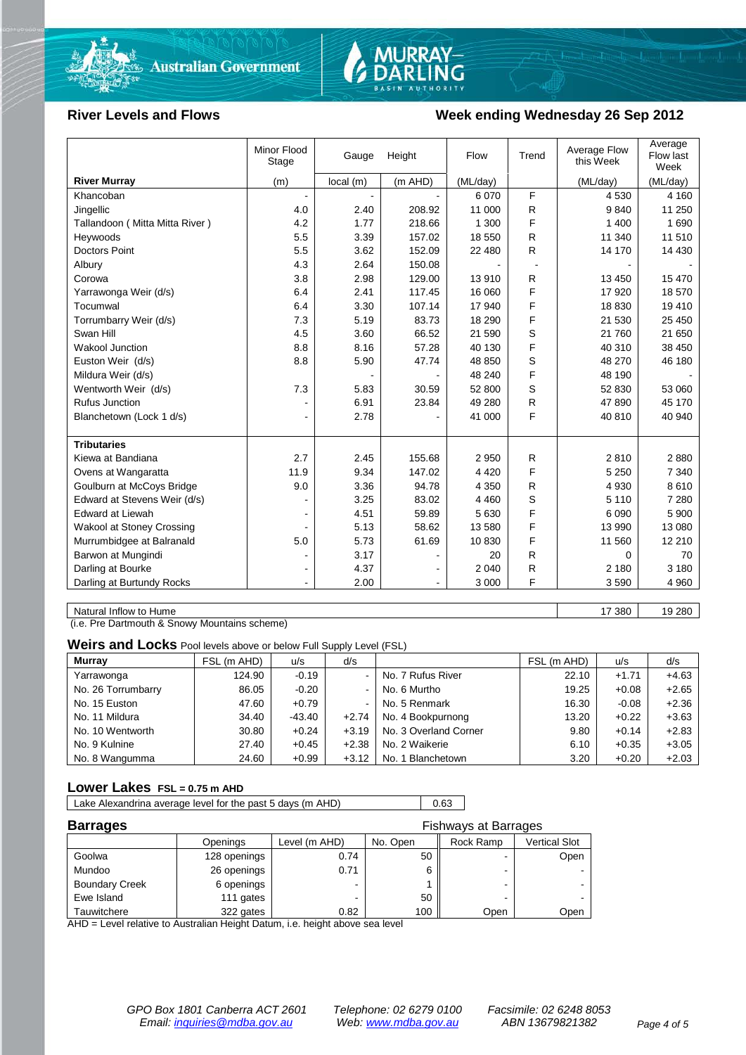

# MURRAY-<br>DARLING

#### River Levels and Flows **Week ending Wednesday 26 Sep 2012**

|                                  | Minor Flood<br>Stage | Gauge    | Height  | Flow     | Trend | Average Flow<br>this Week | Average<br>Flow last<br>Week |
|----------------------------------|----------------------|----------|---------|----------|-------|---------------------------|------------------------------|
| <b>River Murray</b>              | (m)                  | local(m) | (m AHD) | (ML/day) |       | (ML/day)                  | (ML/day)                     |
| Khancoban                        |                      |          |         | 6 0 7 0  | F     | 4 5 3 0                   | 4 1 6 0                      |
| Jingellic                        | 4.0                  | 2.40     | 208.92  | 11 000   | R     | 9840                      | 11 250                       |
| Tallandoon (Mitta Mitta River)   | 4.2                  | 1.77     | 218.66  | 1 300    | F     | 1 400                     | 1690                         |
| Heywoods                         | 5.5                  | 3.39     | 157.02  | 18 550   | R     | 11 340                    | 11 510                       |
| <b>Doctors Point</b>             | 5.5                  | 3.62     | 152.09  | 22 480   | R.    | 14 170                    | 14 4 30                      |
| Albury                           | 4.3                  | 2.64     | 150.08  |          |       |                           |                              |
| Corowa                           | 3.8                  | 2.98     | 129.00  | 13 910   | R.    | 13 450                    | 15 470                       |
| Yarrawonga Weir (d/s)            | 6.4                  | 2.41     | 117.45  | 16 060   | F     | 17 920                    | 18 570                       |
| Tocumwal                         | 6.4                  | 3.30     | 107.14  | 17 940   | F     | 18 8 30                   | 19 410                       |
| Torrumbarry Weir (d/s)           | 7.3                  | 5.19     | 83.73   | 18 290   | F     | 21 530                    | 25 450                       |
| Swan Hill                        | 4.5                  | 3.60     | 66.52   | 21 590   | S     | 21 760                    | 21 650                       |
| Wakool Junction                  | 8.8                  | 8.16     | 57.28   | 40 130   | F     | 40 310                    | 38 450                       |
| Euston Weir (d/s)                | 8.8                  | 5.90     | 47.74   | 48 850   | S     | 48 270                    | 46 180                       |
| Mildura Weir (d/s)               |                      |          |         | 48 240   | F     | 48 190                    |                              |
| Wentworth Weir (d/s)             | 7.3                  | 5.83     | 30.59   | 52 800   | S     | 52 830                    | 53 060                       |
| <b>Rufus Junction</b>            |                      | 6.91     | 23.84   | 49 280   | R     | 47890                     | 45 170                       |
| Blanchetown (Lock 1 d/s)         | $\blacksquare$       | 2.78     |         | 41 000   | F     | 40 810                    | 40 940                       |
|                                  |                      |          |         |          |       |                           |                              |
| <b>Tributaries</b>               |                      |          |         |          |       |                           |                              |
| Kiewa at Bandiana                | 2.7                  | 2.45     | 155.68  | 2 9 5 0  | R     | 2810                      | 2880                         |
| Ovens at Wangaratta              | 11.9                 | 9.34     | 147.02  | 4 4 2 0  | F     | 5 2 5 0                   | 7 3 4 0                      |
| Goulburn at McCoys Bridge        | 9.0                  | 3.36     | 94.78   | 4 3 5 0  | R     | 4 9 3 0                   | 8610                         |
| Edward at Stevens Weir (d/s)     |                      | 3.25     | 83.02   | 4 4 6 0  | S     | 5 1 1 0                   | 7 2 8 0                      |
| <b>Edward at Liewah</b>          |                      | 4.51     | 59.89   | 5 6 3 0  | F     | 6 0 9 0                   | 5 9 0 0                      |
| <b>Wakool at Stoney Crossing</b> |                      | 5.13     | 58.62   | 13 580   | F     | 13 990                    | 13 080                       |
| Murrumbidgee at Balranald        | 5.0                  | 5.73     | 61.69   | 10830    | F     | 11 560                    | 12 210                       |
| Barwon at Mungindi               |                      | 3.17     |         | 20       | R     | 0                         | 70                           |
| Darling at Bourke                | $\blacksquare$       | 4.37     |         | 2 0 4 0  | R     | 2 1 8 0                   | 3 1 8 0                      |
| Darling at Burtundy Rocks        |                      | 2.00     |         | 3 0 0 0  | F     | 3590                      | 4 9 6 0                      |

Natural Inflow to Hume 17 380 19 280 19 280 19 280 19 280 19 280 19 280 19 280 19 280 19 280 19 280 19 280 19 280 19 280 19 280 19 280 19 280 19 280 19 280 19 280 19 280 19 280 19 280 19 280 19 280 19 280 19 280 19 280 19

(i.e. Pre Dartmouth & Snowy Mountains scheme)

**Weirs and Locks** Pool levels above or below Full Supply Level (FSL)

| <b>Murray</b>      | FSL (m AHD) | u/s      | d/s                      |                       | FSL (m AHD) | u/s     | d/s     |
|--------------------|-------------|----------|--------------------------|-----------------------|-------------|---------|---------|
| Yarrawonga         | 124.90      | $-0.19$  | $\blacksquare$           | No. 7 Rufus River     | 22.10       | $+1.71$ | $+4.63$ |
| No. 26 Torrumbarry | 86.05       | $-0.20$  | $\overline{\phantom{a}}$ | No. 6 Murtho          | 19.25       | $+0.08$ | $+2.65$ |
| No. 15 Euston      | 47.60       | $+0.79$  | $\overline{\phantom{a}}$ | No. 5 Renmark         | 16.30       | $-0.08$ | $+2.36$ |
| No. 11 Mildura     | 34.40       | $-43.40$ | $+2.74$                  | No. 4 Bookpurnong     | 13.20       | $+0.22$ | $+3.63$ |
| No. 10 Wentworth   | 30.80       | $+0.24$  | $+3.19$                  | No. 3 Overland Corner | 9.80        | $+0.14$ | $+2.83$ |
| No. 9 Kulnine      | 27.40       | $+0.45$  | $+2.38$                  | No. 2 Waikerie        | 6.10        | $+0.35$ | $+3.05$ |
| No. 8 Wangumma     | 24.60       | $+0.99$  | $+3.12$                  | No. 1 Blanchetown     | 3.20        | $+0.20$ | $+2.03$ |

#### **Lower Lakes FSL = 0.75 m AHD**

Lake Alexandrina average level for the past 5 days (m AHD) 0.63

| <b>Barrages</b>       | <b>Fishways at Barrages</b> |               |          |           |                      |  |
|-----------------------|-----------------------------|---------------|----------|-----------|----------------------|--|
|                       | Openings                    | Level (m AHD) | No. Open | Rock Ramp | <b>Vertical Slot</b> |  |
| Goolwa                | 128 openings                | 0.74          | 50       |           | Open                 |  |
| Mundoo                | 26 openings                 | 0.71          |          | -         |                      |  |
| <b>Boundary Creek</b> | 6 openings                  |               |          | -         |                      |  |
| Ewe Island            | 111 gates                   |               | 50       |           |                      |  |
| Tauwitchere           | 322 gates                   | 0.82          | 100      | Open      | Open                 |  |

AHD = Level relative to Australian Height Datum, i.e. height above sea level